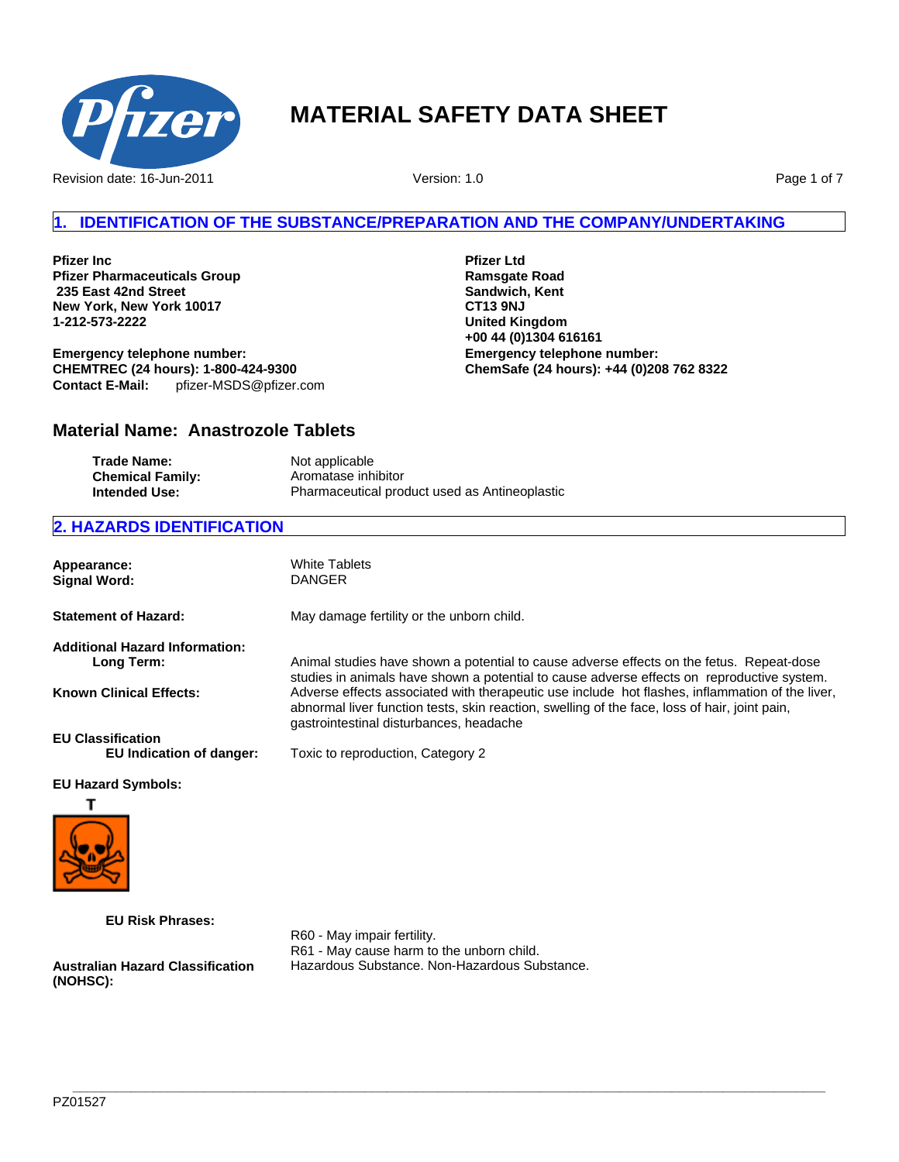

Revision date: 16-Jun-2011

Version: 1.0

Page 1 of 7

# **1. IDENTIFICATION OF THE SUBSTANCE/PREPARATION AND THE COMPANY/UNDERTAKING**

**Pfizer Inc Pfizer Pharmaceuticals Group 235 East 42nd Street New York, New York 10017 1-212-573-2222**

**Emergency telephone number: CHEMTREC (24 hours): 1-800-424-9300 Contact E-Mail:** pfizer-MSDS@pfizer.com **Pfizer Ltd Ramsgate Road Sandwich, Kent CT13 9NJ United Kingdom +00 44 (0)1304 616161 Emergency telephone number: ChemSafe (24 hours): +44 (0)208 762 8322**

# **Material Name: Anastrozole Tablets**

| <b>Trade Name:</b>      | Not applicable                                |
|-------------------------|-----------------------------------------------|
| <b>Chemical Family:</b> | Aromatase inhibitor                           |
| Intended Use:           | Pharmaceutical product used as Antineoplastic |

# **2. HAZARDS IDENTIFICATION**

| Appearance:<br><b>Signal Word:</b>    | White Tablets<br><b>DANGER</b>                                                                                                                                                                                                              |
|---------------------------------------|---------------------------------------------------------------------------------------------------------------------------------------------------------------------------------------------------------------------------------------------|
| <b>Statement of Hazard:</b>           | May damage fertility or the unborn child.                                                                                                                                                                                                   |
| <b>Additional Hazard Information:</b> |                                                                                                                                                                                                                                             |
| Long Term:                            | Animal studies have shown a potential to cause adverse effects on the fetus. Repeat-dose<br>studies in animals have shown a potential to cause adverse effects on reproductive system.                                                      |
| <b>Known Clinical Effects:</b>        | Adverse effects associated with therapeutic use include hot flashes, inflammation of the liver,<br>abnormal liver function tests, skin reaction, swelling of the face, loss of hair, joint pain,<br>gastrointestinal disturbances, headache |
| <b>EU Classification</b>              |                                                                                                                                                                                                                                             |
| EU Indication of danger:              | Toxic to reproduction, Category 2                                                                                                                                                                                                           |
| <b>EU Hazard Symbols:</b>             |                                                                                                                                                                                                                                             |
|                                       |                                                                                                                                                                                                                                             |
|                                       |                                                                                                                                                                                                                                             |

**EU Risk Phrases:**

**Australian Hazard Classification (NOHSC):**

R60 - May impair fertility. R61 - May cause harm to the unborn child. Hazardous Substance. Non-Hazardous Substance.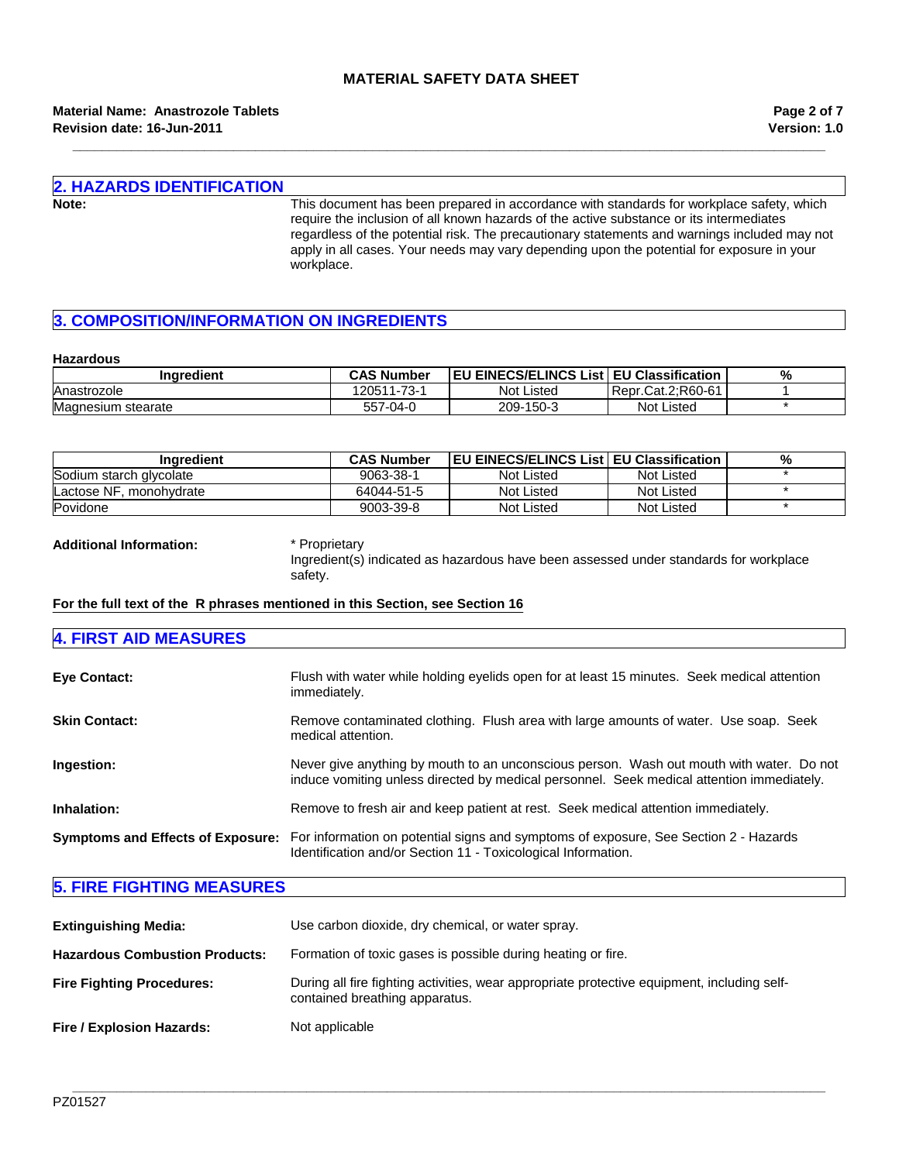**\_\_\_\_\_\_\_\_\_\_\_\_\_\_\_\_\_\_\_\_\_\_\_\_\_\_\_\_\_\_\_\_\_\_\_\_\_\_\_\_\_\_\_\_\_\_\_\_\_\_\_\_\_\_\_\_\_\_\_\_\_\_\_\_\_\_\_\_\_\_\_\_\_\_\_\_\_\_\_\_\_\_\_\_\_\_\_\_\_\_\_\_\_\_\_\_\_\_\_\_\_\_\_**

#### **Material Name: Anastrozole Tablets Revision date: 16-Jun-2011**

**Version: 1.0 Page 2 of 7**

# **2. HAZARDS IDENTIFICATION**

**Note:** This document has been prepared in accordance with standards for workplace safety, which require the inclusion of all known hazards of the active substance or its intermediates regardless of the potential risk. The precautionary statements and warnings included may not apply in all cases. Your needs may vary depending upon the potential for exposure in your workplace.

# **3. COMPOSITION/INFORMATION ON INGREDIENTS**

#### **Hazardous**

| Inaredient         | <b>CAS Number</b> | <b>EU EINECS/ELINCS List   EU Classification</b> |                   | % |
|--------------------|-------------------|--------------------------------------------------|-------------------|---|
| Anastrozole        | 120511-73-1       | Not Listed                                       | Repr.Cat.2:R60-61 |   |
| Magnesium stearate | 557-04-0          | 209-150-3                                        | <b>Not Listed</b> |   |

| Inaredient              | <b>CAS Number</b> | <b>IEU EINECS/ELINCS List EU Classification</b> |            | % |
|-------------------------|-------------------|-------------------------------------------------|------------|---|
| Sodium starch glycolate | 9063-38-1         | Not Listed                                      | Not Listed |   |
| Lactose NF. monohydrate | 64044-51-5        | Not Listed                                      | Not Listed |   |
| Povidone                | 9003-39-8         | Not Listed                                      | Not Listed |   |

**Additional Information:** \* Proprietary

Ingredient(s) indicated as hazardous have been assessed under standards for workplace safety.

#### **For the full text of the R phrases mentioned in this Section, see Section 16**

### **4. FIRST AID MEASURES**

| <b>Eye Contact:</b>  | Flush with water while holding eyelids open for at least 15 minutes. Seek medical attention<br>immediately.                                                                             |
|----------------------|-----------------------------------------------------------------------------------------------------------------------------------------------------------------------------------------|
| <b>Skin Contact:</b> | Remove contaminated clothing. Flush area with large amounts of water. Use soap. Seek<br>medical attention.                                                                              |
| Ingestion:           | Never give anything by mouth to an unconscious person. Wash out mouth with water. Do not<br>induce vomiting unless directed by medical personnel. Seek medical attention immediately.   |
| Inhalation:          | Remove to fresh air and keep patient at rest. Seek medical attention immediately.                                                                                                       |
|                      | Symptoms and Effects of Exposure: For information on potential signs and symptoms of exposure, See Section 2 - Hazards<br>Identification and/or Section 11 - Toxicological Information. |

# **5. FIRE FIGHTING MEASURES**

| <b>Extinguishing Media:</b>           | Use carbon dioxide, dry chemical, or water spray.                                                                             |  |
|---------------------------------------|-------------------------------------------------------------------------------------------------------------------------------|--|
| <b>Hazardous Combustion Products:</b> | Formation of toxic gases is possible during heating or fire.                                                                  |  |
| <b>Fire Fighting Procedures:</b>      | During all fire fighting activities, wear appropriate protective equipment, including self-<br>contained breathing apparatus. |  |
| Fire / Explosion Hazards:             | Not applicable                                                                                                                |  |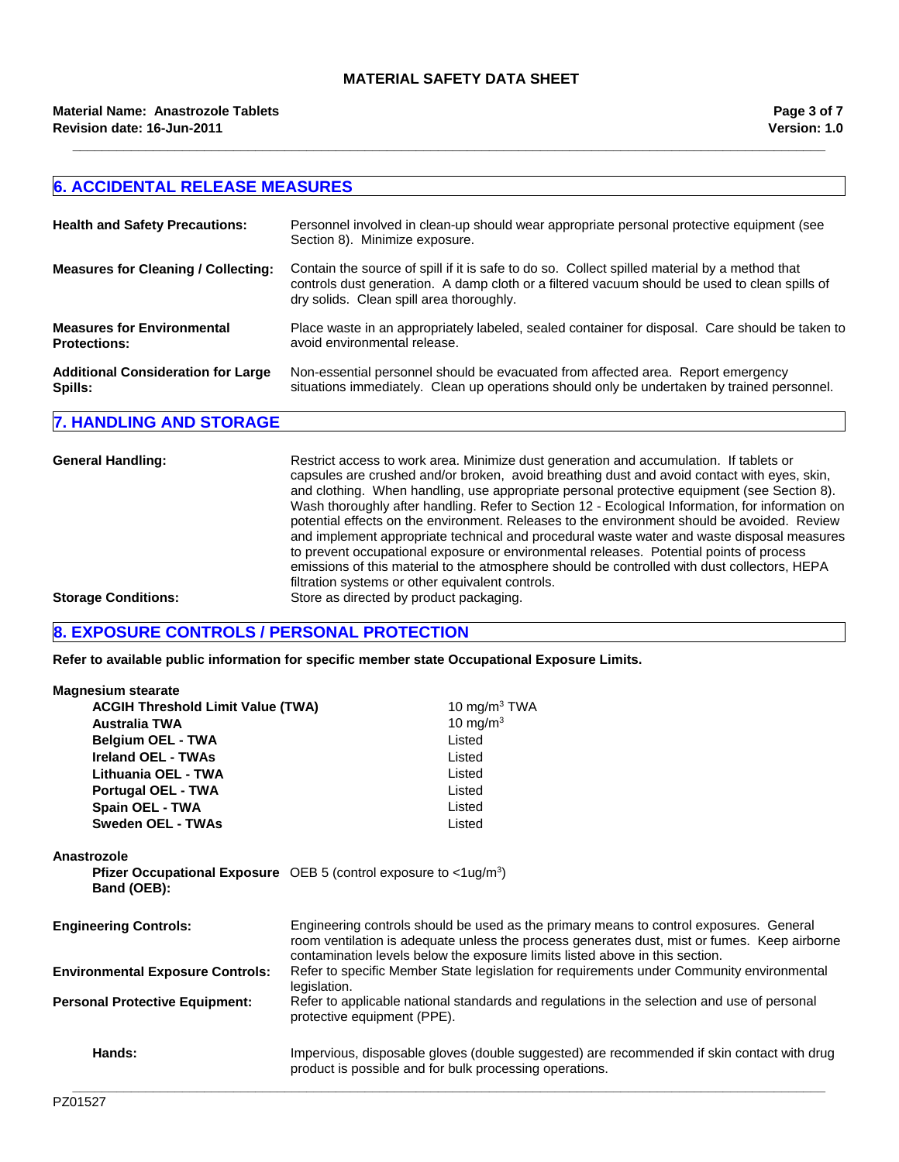**\_\_\_\_\_\_\_\_\_\_\_\_\_\_\_\_\_\_\_\_\_\_\_\_\_\_\_\_\_\_\_\_\_\_\_\_\_\_\_\_\_\_\_\_\_\_\_\_\_\_\_\_\_\_\_\_\_\_\_\_\_\_\_\_\_\_\_\_\_\_\_\_\_\_\_\_\_\_\_\_\_\_\_\_\_\_\_\_\_\_\_\_\_\_\_\_\_\_\_\_\_\_\_**

### **6. ACCIDENTAL RELEASE MEASURES Health and Safety Precautions:** Personnel involved in clean-up should wear appropriate personal protective equipment (see Section 8). Minimize exposure. **Measures for Cleaning / Collecting:** Contain the source of spill if it is safe to do so. Collect spilled material by a method that controls dust generation. A damp cloth or a filtered vacuum should be used to clean spills of dry solids. Clean spill area thoroughly. **Measures for Environmental Protections:** Place waste in an appropriately labeled, sealed container for disposal. Care should be taken to avoid environmental release. **Additional Consideration for Large Spills:** Non-essential personnel should be evacuated from affected area. Report emergency situations immediately. Clean up operations should only be undertaken by trained personnel. **7. HANDLING AND STORAGE**

| Restrict access to work area. Minimize dust generation and accumulation. If tablets or<br>capsules are crushed and/or broken, avoid breathing dust and avoid contact with eyes, skin,<br>and clothing. When handling, use appropriate personal protective equipment (see Section 8).<br>Wash thoroughly after handling. Refer to Section 12 - Ecological Information, for information on<br>potential effects on the environment. Releases to the environment should be avoided. Review<br>and implement appropriate technical and procedural waste water and waste disposal measures<br>to prevent occupational exposure or environmental releases. Potential points of process<br>emissions of this material to the atmosphere should be controlled with dust collectors, HEPA |
|----------------------------------------------------------------------------------------------------------------------------------------------------------------------------------------------------------------------------------------------------------------------------------------------------------------------------------------------------------------------------------------------------------------------------------------------------------------------------------------------------------------------------------------------------------------------------------------------------------------------------------------------------------------------------------------------------------------------------------------------------------------------------------|
| filtration systems or other equivalent controls.<br>Store as directed by product packaging.                                                                                                                                                                                                                                                                                                                                                                                                                                                                                                                                                                                                                                                                                      |
|                                                                                                                                                                                                                                                                                                                                                                                                                                                                                                                                                                                                                                                                                                                                                                                  |

# **8. EXPOSURE CONTROLS / PERSONAL PROTECTION**

**Refer to available public information for specific member state Occupational Exposure Limits.**

| <b>Magnesium stearate</b>                |                                                                                                                                                                                                                                                                        |
|------------------------------------------|------------------------------------------------------------------------------------------------------------------------------------------------------------------------------------------------------------------------------------------------------------------------|
| <b>ACGIH Threshold Limit Value (TWA)</b> | 10 mg/m $3$ TWA                                                                                                                                                                                                                                                        |
| <b>Australia TWA</b>                     | 10 mg/m $3$                                                                                                                                                                                                                                                            |
| <b>Belgium OEL - TWA</b>                 | Listed                                                                                                                                                                                                                                                                 |
| <b>Ireland OEL - TWAs</b>                | Listed                                                                                                                                                                                                                                                                 |
| Lithuania OEL - TWA                      | Listed                                                                                                                                                                                                                                                                 |
| Portugal OEL - TWA                       | Listed                                                                                                                                                                                                                                                                 |
| Spain OEL - TWA                          | Listed                                                                                                                                                                                                                                                                 |
| Sweden OEL - TWAs                        | Listed                                                                                                                                                                                                                                                                 |
|                                          |                                                                                                                                                                                                                                                                        |
| Anastrozole<br>Band (OEB):               | <b>Pfizer Occupational Exposure</b> OEB 5 (control exposure to $\langle$ 1ug/m <sup>3</sup> )                                                                                                                                                                          |
| <b>Engineering Controls:</b>             | Engineering controls should be used as the primary means to control exposures. General<br>room ventilation is adequate unless the process generates dust, mist or fumes. Keep airborne<br>contamination levels below the exposure limits listed above in this section. |
| <b>Environmental Exposure Controls:</b>  | Refer to specific Member State legislation for requirements under Community environmental<br>legislation.                                                                                                                                                              |
| <b>Personal Protective Equipment:</b>    | Refer to applicable national standards and regulations in the selection and use of personal<br>protective equipment (PPE).                                                                                                                                             |
| Hands:                                   | Impervious, disposable gloves (double suggested) are recommended if skin contact with drug<br>product is possible and for bulk processing operations.                                                                                                                  |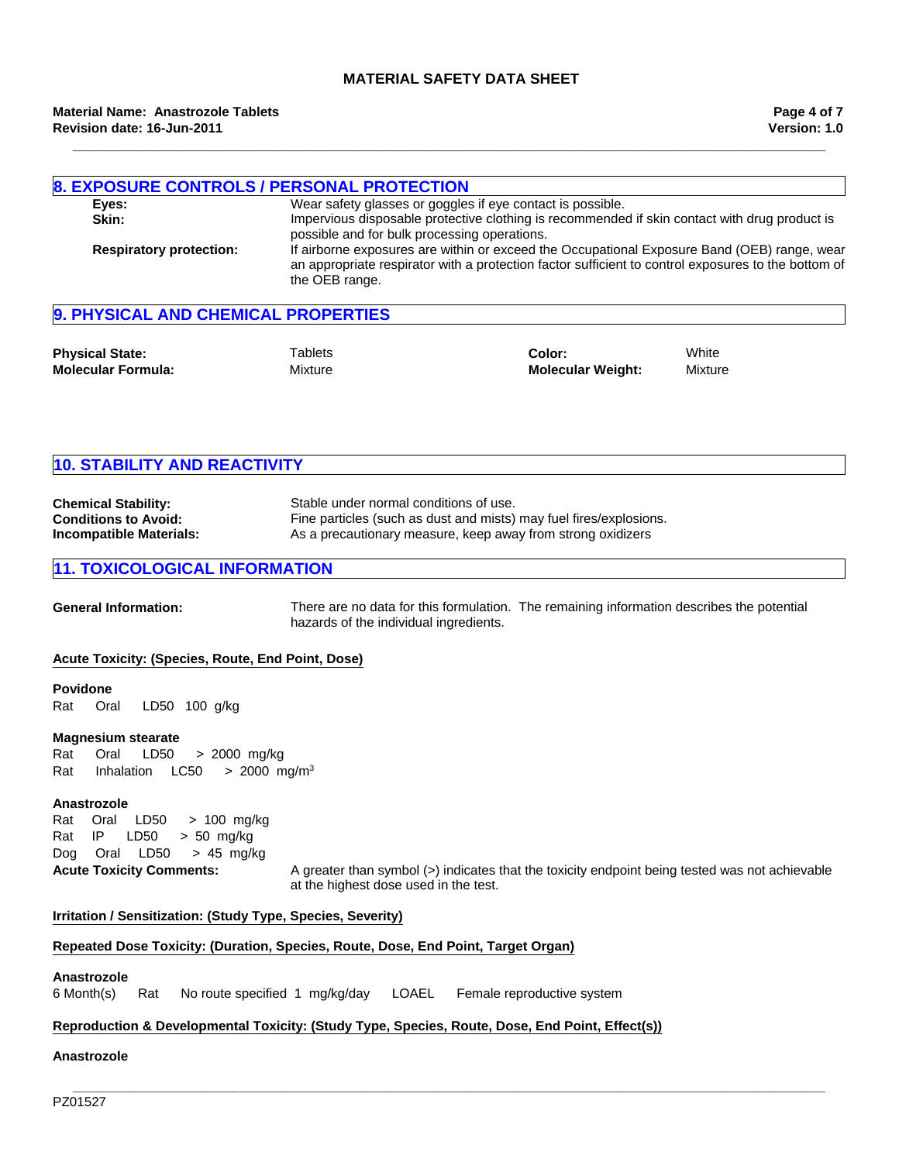**\_\_\_\_\_\_\_\_\_\_\_\_\_\_\_\_\_\_\_\_\_\_\_\_\_\_\_\_\_\_\_\_\_\_\_\_\_\_\_\_\_\_\_\_\_\_\_\_\_\_\_\_\_\_\_\_\_\_\_\_\_\_\_\_\_\_\_\_\_\_\_\_\_\_\_\_\_\_\_\_\_\_\_\_\_\_\_\_\_\_\_\_\_\_\_\_\_\_\_\_\_\_\_**

| <b>8. EXPOSURE CONTROLS / PERSONAL PROTECTION</b><br>Eyes:<br>Skin: | possible and for bulk processing operations.                                                                                                                                                                         | Wear safety glasses or goggles if eye contact is possible. | Impervious disposable protective clothing is recommended if skin contact with drug product is |
|---------------------------------------------------------------------|----------------------------------------------------------------------------------------------------------------------------------------------------------------------------------------------------------------------|------------------------------------------------------------|-----------------------------------------------------------------------------------------------|
| <b>Respiratory protection:</b>                                      | If airborne exposures are within or exceed the Occupational Exposure Band (OEB) range, wear<br>an appropriate respirator with a protection factor sufficient to control exposures to the bottom of<br>the OEB range. |                                                            |                                                                                               |
| 9. PHYSICAL AND CHEMICAL PROPERTIES                                 |                                                                                                                                                                                                                      |                                                            |                                                                                               |
| <b>Physical State:</b>                                              | <sup>-</sup> Tablets                                                                                                                                                                                                 | Color:                                                     | White                                                                                         |

| <b>10. STABILITY AND REACTIVITY</b> |                                                                    |  |
|-------------------------------------|--------------------------------------------------------------------|--|
| <b>Chemical Stability:</b>          | Stable under normal conditions of use.                             |  |
| <b>Conditions to Avoid:</b>         | Fine particles (such as dust and mists) may fuel fires/explosions. |  |

| <b>Incompatible Materials:</b> | As a precautionary measure, keep away from strong oxidizers |
|--------------------------------|-------------------------------------------------------------|
|                                |                                                             |

Mixture

## **11. TOXICOLOGICAL INFORMATION**

**Molecular Formula:**

**General Information:** There are no data for this formulation. The remaining information describes the potential hazards of the individual ingredients.

**Molecular Weight:** Mixture

#### **Acute Toxicity: (Species, Route, End Point, Dose)**

#### **Povidone**

Rat Oral LD50 100 g/kg

#### **Magnesium stearate**

Rat Oral LD50 >2000mg/kg Rat InhalationLC50 >2000mg/m3

#### **Anastrozole**

RatOralLD50 >100mg/kg RatIP LD50 >50mg/kg DogOralLD50 >45mg/kg

**Acute Toxicity Comments:** A greater than symbol (>) indicates that the toxicity endpoint being tested was not achievable at the highest dose used in the test.

#### **Irritation / Sensitization: (Study Type, Species, Severity)**

#### **Repeated Dose Toxicity: (Duration, Species, Route, Dose, End Point, Target Organ)**

## **Anastrozole**

6 Month(s)RatNo route specified1mg/kg/dayLOAELFemale reproductive system

# **Reproduction & Developmental Toxicity: (Study Type, Species, Route, Dose, End Point, Effect(s))**

## **Anastrozole**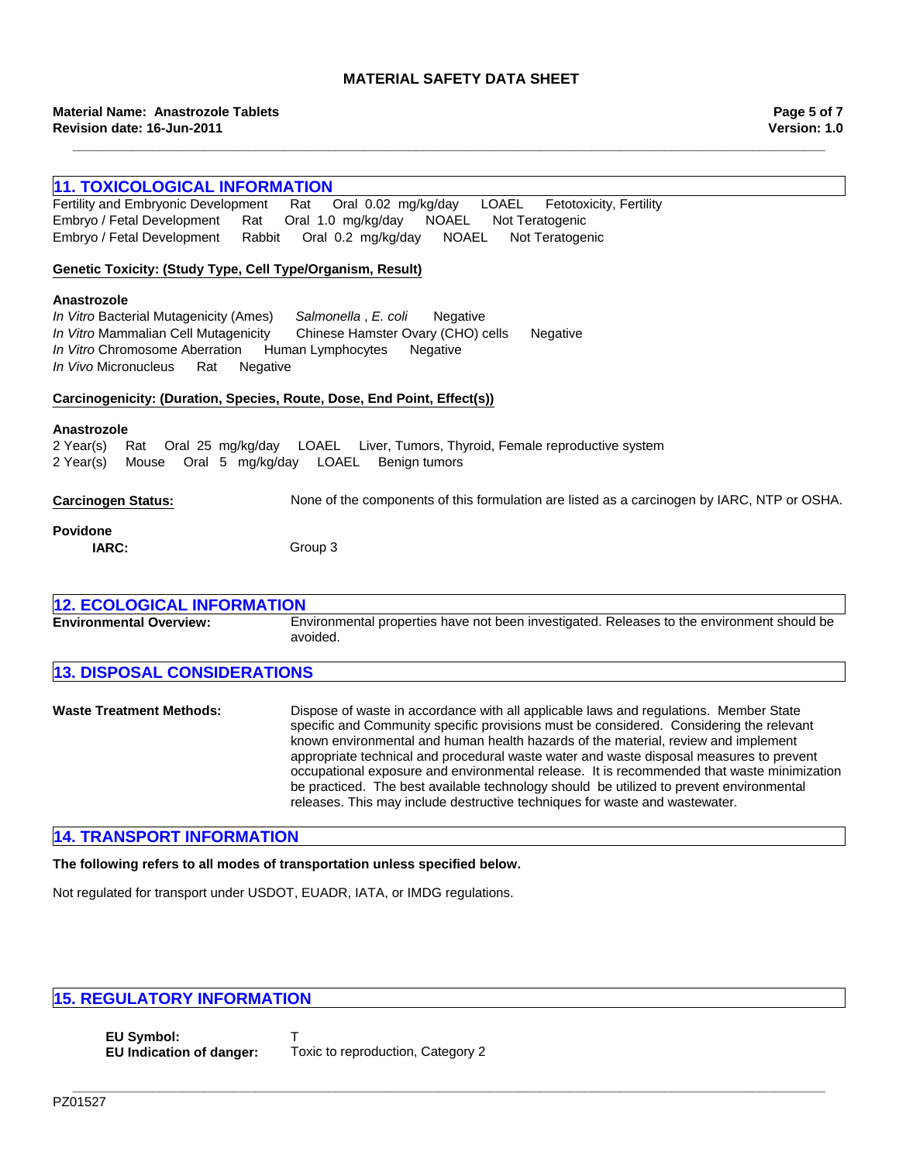**\_\_\_\_\_\_\_\_\_\_\_\_\_\_\_\_\_\_\_\_\_\_\_\_\_\_\_\_\_\_\_\_\_\_\_\_\_\_\_\_\_\_\_\_\_\_\_\_\_\_\_\_\_\_\_\_\_\_\_\_\_\_\_\_\_\_\_\_\_\_\_\_\_\_\_\_\_\_\_\_\_\_\_\_\_\_\_\_\_\_\_\_\_\_\_\_\_\_\_\_\_\_\_**

| <b>11. TOXICOLOGICAL INFORMATION</b>                                                                                                                                       |                                                                                                                                                                                                                                                                        |  |
|----------------------------------------------------------------------------------------------------------------------------------------------------------------------------|------------------------------------------------------------------------------------------------------------------------------------------------------------------------------------------------------------------------------------------------------------------------|--|
| Fertility and Embryonic Development                                                                                                                                        | Oral 0.02 mg/kg/day LOAEL<br>Rat<br>Fetotoxicity, Fertility                                                                                                                                                                                                            |  |
| Embryo / Fetal Development<br>Oral 1.0 mg/kg/day NOAEL<br>Rat<br>Not Teratogenic                                                                                           |                                                                                                                                                                                                                                                                        |  |
| Embryo / Fetal Development<br>Rabbit                                                                                                                                       | <b>NOAEL</b><br>Oral 0.2 mg/kg/day<br>Not Teratogenic                                                                                                                                                                                                                  |  |
|                                                                                                                                                                            |                                                                                                                                                                                                                                                                        |  |
| Genetic Toxicity: (Study Type, Cell Type/Organism, Result)                                                                                                                 |                                                                                                                                                                                                                                                                        |  |
| Anastrozole<br>In Vitro Bacterial Mutagenicity (Ames)<br>In Vitro Mammalian Cell Mutagenicity<br>In Vitro Chromosome Aberration<br>In Vivo Micronucleus<br>Rat<br>Negative | Salmonella, E. coli<br>Negative<br>Chinese Hamster Ovary (CHO) cells<br>Negative<br>Human Lymphocytes<br>Negative                                                                                                                                                      |  |
| Carcinogenicity: (Duration, Species, Route, Dose, End Point, Effect(s))                                                                                                    |                                                                                                                                                                                                                                                                        |  |
| Anastrozole<br>2 Year(s)<br>Rat<br>Oral 5 mg/kg/day LOAEL<br>2 Year(s)<br>Mouse                                                                                            | Oral 25 mg/kg/day LOAEL Liver, Tumors, Thyroid, Female reproductive system<br>Benign tumors                                                                                                                                                                            |  |
| <b>Carcinogen Status:</b>                                                                                                                                                  | None of the components of this formulation are listed as a carcinogen by IARC, NTP or OSHA.                                                                                                                                                                            |  |
| <b>Povidone</b>                                                                                                                                                            |                                                                                                                                                                                                                                                                        |  |
| IARC:                                                                                                                                                                      | Group 3                                                                                                                                                                                                                                                                |  |
|                                                                                                                                                                            |                                                                                                                                                                                                                                                                        |  |
| <b>12. ECOLOGICAL INFORMATION</b>                                                                                                                                          |                                                                                                                                                                                                                                                                        |  |
| <b>Environmental Overview:</b>                                                                                                                                             | Environmental properties have not been investigated. Releases to the environment should be<br>avoided.                                                                                                                                                                 |  |
| <b>13. DISPOSAL CONSIDERATIONS</b>                                                                                                                                         |                                                                                                                                                                                                                                                                        |  |
| <b>Waste Treatment Methods:</b>                                                                                                                                            | Dispose of waste in accordance with all applicable laws and regulations. Member State<br>specific and Community specific provisions must be considered. Considering the relevant<br>known environmental and human health hazards of the material, review and implement |  |

appropriate technical and procedural waste water and waste disposal measures to prevent occupational exposure and environmental release. It is recommended that waste minimization be practiced. The best available technology should be utilized to prevent environmental

releases. This may include destructive techniques for waste and wastewater.

**14. TRANSPORT INFORMATION**

**The following refers to all modes of transportation unless specified below.**

Not regulated for transport under USDOT, EUADR, IATA, or IMDG regulations.

# **15. REGULATORY INFORMATION**

**EU Symbol:** T **EU Indication of danger:** Toxic to reproduction, Category 2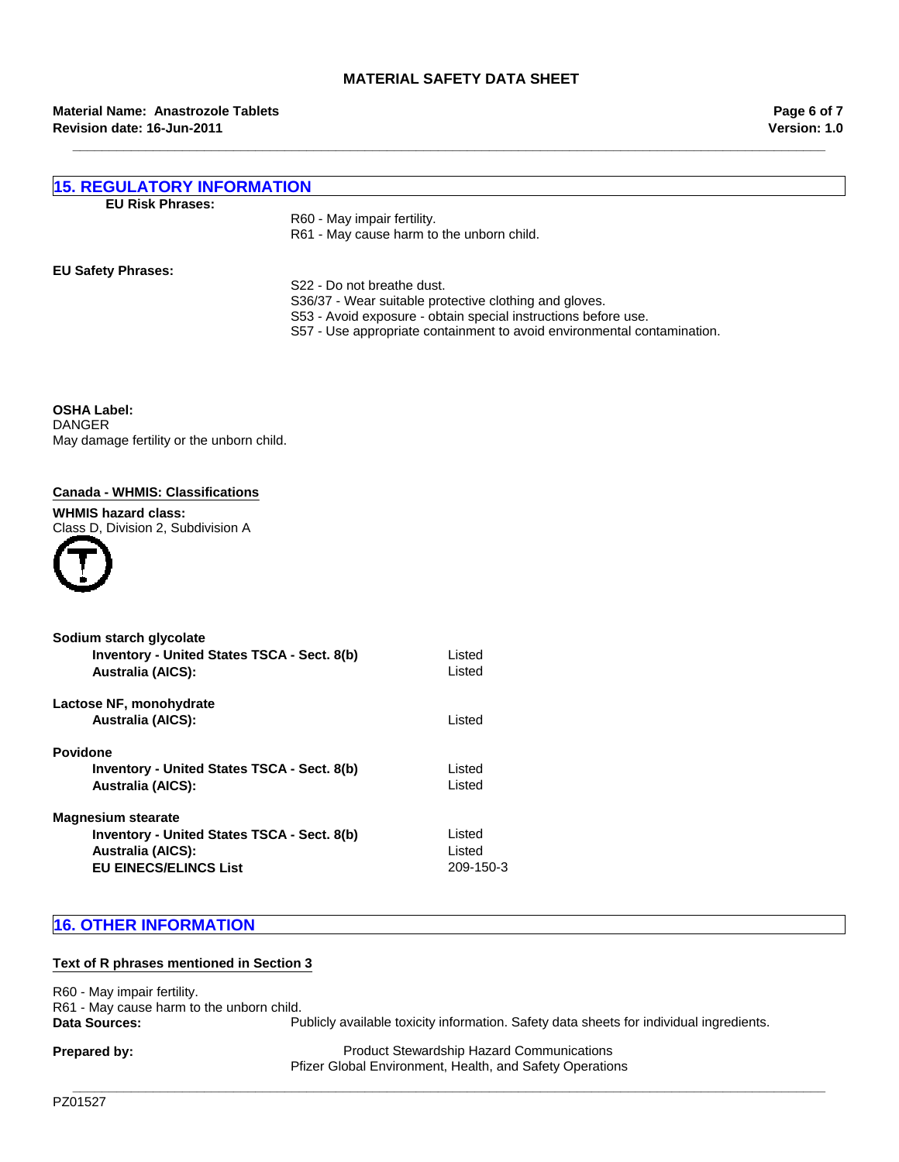**Version: 1.0 Page 6 of 7**

| <b>15. REGULATORY INFORMATION</b> |                                                                |  |
|-----------------------------------|----------------------------------------------------------------|--|
| <b>EU Risk Phrases:</b>           |                                                                |  |
|                                   | R60 - May impair fertility.                                    |  |
|                                   | R61 - May cause harm to the unborn child.                      |  |
| <b>EU Safety Phrases:</b>         |                                                                |  |
|                                   | S22 - Do not breathe dust.                                     |  |
|                                   | S36/37 - Wear suitable protective clothing and gloves.         |  |
|                                   | S53 - Avoid exposure - obtain special instructions before use. |  |

**\_\_\_\_\_\_\_\_\_\_\_\_\_\_\_\_\_\_\_\_\_\_\_\_\_\_\_\_\_\_\_\_\_\_\_\_\_\_\_\_\_\_\_\_\_\_\_\_\_\_\_\_\_\_\_\_\_\_\_\_\_\_\_\_\_\_\_\_\_\_\_\_\_\_\_\_\_\_\_\_\_\_\_\_\_\_\_\_\_\_\_\_\_\_\_\_\_\_\_\_\_\_\_**

S57 - Use appropriate containment to avoid environmental contamination.

**OSHA Label:** DANGER May damage fertility or the unborn child.

## **Canada - WHMIS: Classifications**

#### **WHMIS hazard class:** Class D, Division 2, Subdivision A



| Sodium starch glycolate<br><b>Inventory - United States TSCA - Sect. 8(b)</b><br><b>Australia (AICS):</b>                                   | Listed<br><b>Listed</b>       |
|---------------------------------------------------------------------------------------------------------------------------------------------|-------------------------------|
| Lactose NF, monohydrate<br><b>Australia (AICS):</b>                                                                                         | Listed                        |
| <b>Povidone</b><br><b>Inventory - United States TSCA - Sect. 8(b)</b><br><b>Australia (AICS):</b>                                           | Listed<br>Listed              |
| <b>Magnesium stearate</b><br><b>Inventory - United States TSCA - Sect. 8(b)</b><br><b>Australia (AICS):</b><br><b>EU EINECS/ELINCS List</b> | Listed<br>Listed<br>209-150-3 |

# **16. OTHER INFORMATION**

#### **Text of R phrases mentioned in Section 3**

R60 - May impair fertility. R61 - May cause harm to the unborn child. Data Sources: **Publicly available toxicity information**. Safety data sheets for individual ingredients.

**Prepared by:** Product Stewardship Hazard Communications Pfizer Global Environment, Health, and Safety Operations